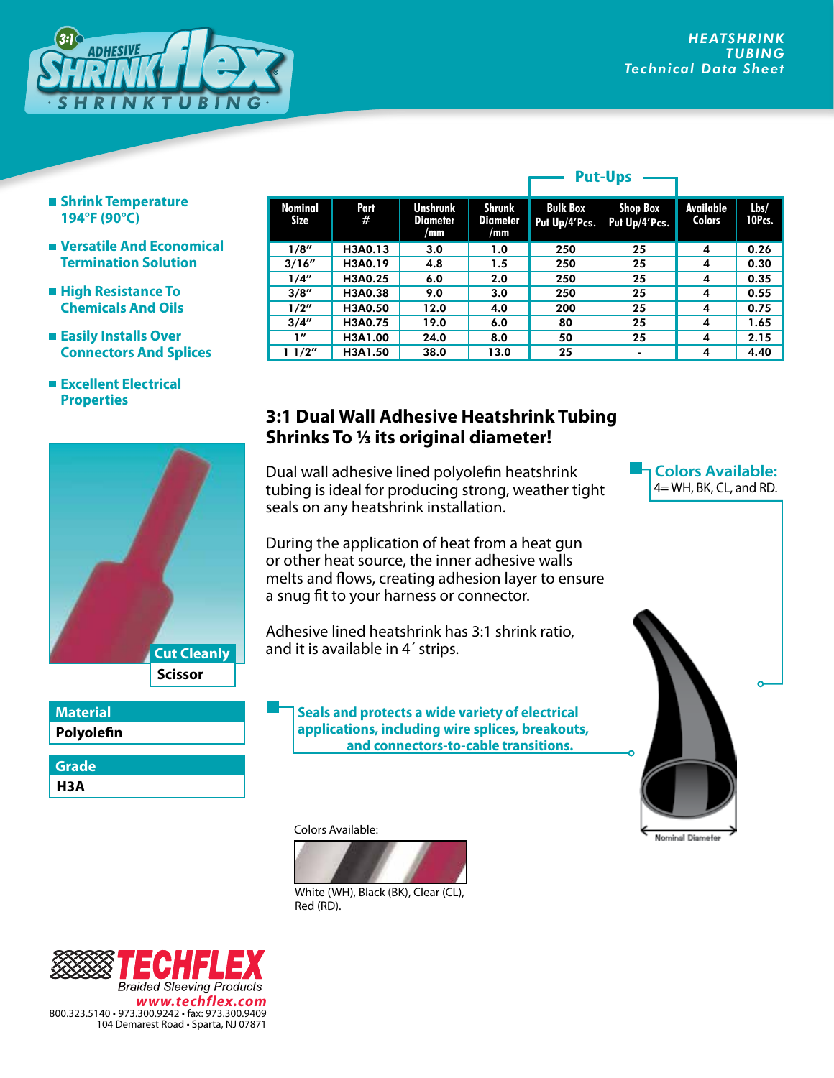

- **Shrink Temperature 194°F (90°C)**
- **Versatile And Economical Termination Solution**
- **High Resistance To Chemicals And Oils**
- **Easily Installs Over Connectors And Splices**
- **Excellent Electrical Properties**



**Polyolefin**

**H3A Grade**

| Nominal<br><b>Size</b> | Part<br># | <b>Unshrunk</b><br><b>Diameter</b><br>/mm | Shrunk<br><b>Diameter</b><br>/mm | <b>Bulk Box</b><br>Put Up/4'Pcs. | <b>Shop Box</b><br>Put Up/4'Pcs. | Available<br><b>Colors</b> | Lbs/<br>10Pcs. |
|------------------------|-----------|-------------------------------------------|----------------------------------|----------------------------------|----------------------------------|----------------------------|----------------|
| 1/8''                  | H3A0.13   | 3.0                                       | 1.0                              | 250                              | 25                               | 4                          | 0.26           |
| 3/16''                 | H3A0.19   | 4.8                                       | 1.5                              | 250                              | 25                               | 4                          | 0.30           |
| 1/4"                   | H3A0.25   | 6.0                                       | 2.0                              | 250                              | 25                               | 4                          | 0.35           |
| 3/8''                  | H3A0.38   | 9.0                                       | 3.0                              | 250                              | 25                               | 4                          | 0.55           |
| 1/2''                  | H3A0.50   | 12.0                                      | 4.0                              | 200                              | 25                               | 4                          | 0.75           |
| 3/4''                  | H3A0.75   | 19.0                                      | 6.0                              | 80                               | 25                               | 4                          | 1.65           |
| 1''                    | H3A1.00   | 24.0                                      | 8.0                              | 50                               | 25                               | 4                          | 2.15           |
| 11/2"                  | H3A1.50   | 38.0                                      | 13.0                             | 25                               |                                  | 4                          | 4.40           |
|                        |           |                                           |                                  |                                  |                                  |                            |                |

**Put-Ups**

## **3:1 Dual Wall Adhesive Heatshrink Tubing Shrinks To 1/3 its original diameter!**

Dual wall adhesive lined polyolefin heatshrink tubing is ideal for producing strong, weather tight seals on any heatshrink installation.

During the application of heat from a heat gun or other heat source, the inner adhesive walls melts and flows, creating adhesion layer to ensure a snug fit to your harness or connector.

Adhesive lined heatshrink has 3:1 shrink ratio, and it is available in 4´ strips.

**Seals and protects a wide variety of electrical applications, including wire splices, breakouts, and connectors-to-cable transitions.**

Colors Available:



White (WH), Black (BK), Clear (CL), Red (RD).



**Colors Available:** 4= WH, BK, CL, and RD.



Nominal Diameter